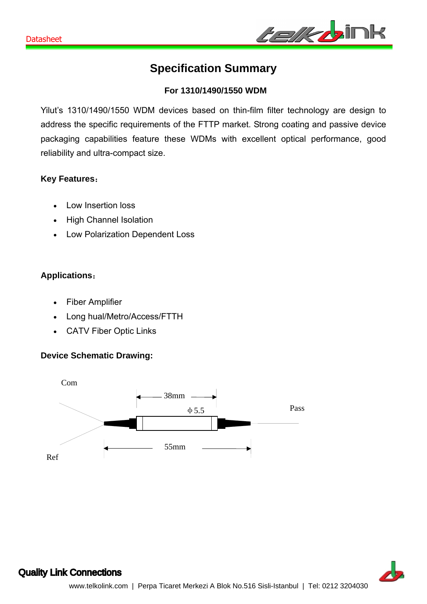

# **Specification Summary**

### **For 1310/1490/1550 WDM**

Yilut's 1310/1490/1550 WDM devices based on thin-film filter technology are design to address the specific requirements of the FTTP market. Strong coating and passive device packaging capabilities feature these WDMs with excellent optical performance, good reliability and ultra-compact size.

#### **Key Features**:

- Low Insertion loss
- High Channel Isolation
- Low Polarization Dependent Loss

# **Applications**:

- Fiber Amplifier
- Long hual/Metro/Access/FTTH
- CATV Fiber Optic Links

#### **Device Schematic Drawing:**





# Quality Link Connections